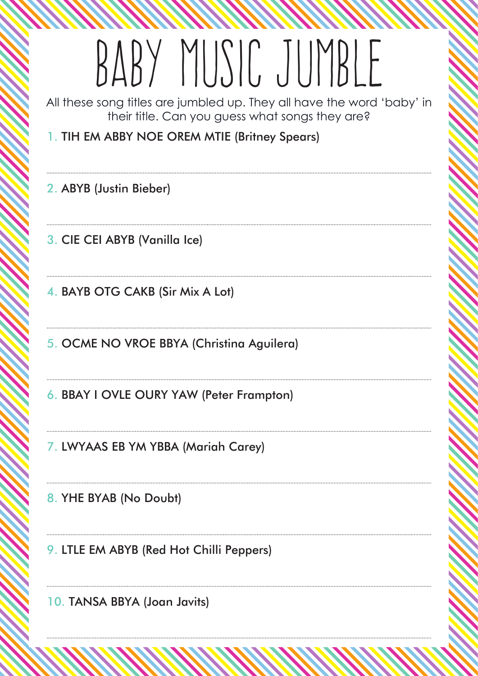### BABY MUSIC JUMBLE

All these song titles are jumbled up. They all have the word 'baby' in their title. Can you guess what songs they are?

1. tih em abby noe orem mtie (Britney Spears)

2. ABYB (Justin Bieber)

3. cie cei abyb (Vanilla Ice)

4. bayb otg cakb (Sir Mix A Lot)

5. ocme no vroe bbya (Christina Aguilera)

6. bbay i ovle oury yaw (Peter Frampton)

7. lwyaas eb ym ybba (Mariah Carey)

8. YHE BYAB (No Doubt)

9. LTLE EM ABYB (Red Hot Chilli Peppers)

10. TANSA BBYA (Joan Javits)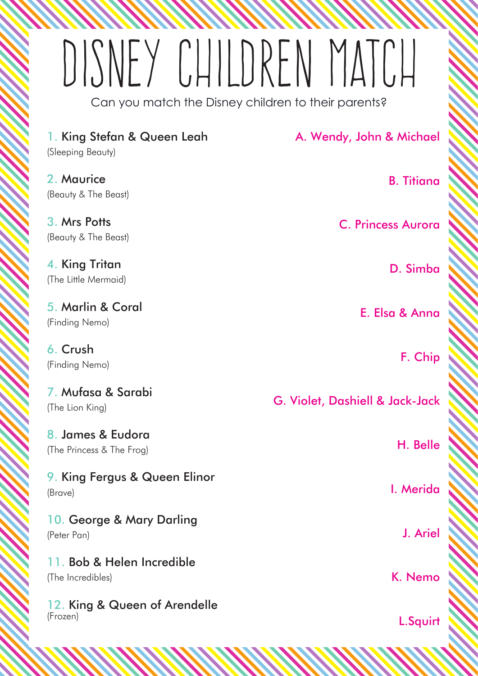# dISNEY cHILDREN MATCH

Can you match the Disney children to their parents?

| 1. King Stefan & Queen Leah<br>(Sleeping Beauty) | A. Wendy, John & Michael                   |
|--------------------------------------------------|--------------------------------------------|
| 2. Maurice<br>(Beauty & The Beast)               | <b>B.</b> Titiana                          |
| 3. Mrs Potts<br>(Beauty & The Beast)             | <b>C. Princess Aurora</b>                  |
| 4. King Tritan<br>(The Little Mermaid)           | D. Simba                                   |
| 5. Marlin & Coral<br>(Finding Nemo)              | E. Elsa & Anna                             |
| 6. Crush<br>(Finding Nemo)                       | F. Chip                                    |
| 7. Mufasa & Sarabi<br>(The Lion King)            | <b>G. Violet, Dashiell &amp; Jack-Jack</b> |
| 8. James & Eudora<br>(The Princess & The Frog)   | H. Belle                                   |
| 9. King Fergus & Queen Elinor<br>(Brave)         | I. Merida                                  |
| 10. George & Mary Darling<br>(Peter Pan)         | J. Ariel                                   |
| 11. Bob & Helen Incredible<br>(The Incredibles)  | K. Nemo                                    |
| 12. King & Queen of Arendelle<br>(Frozen)        | L.Squirt                                   |